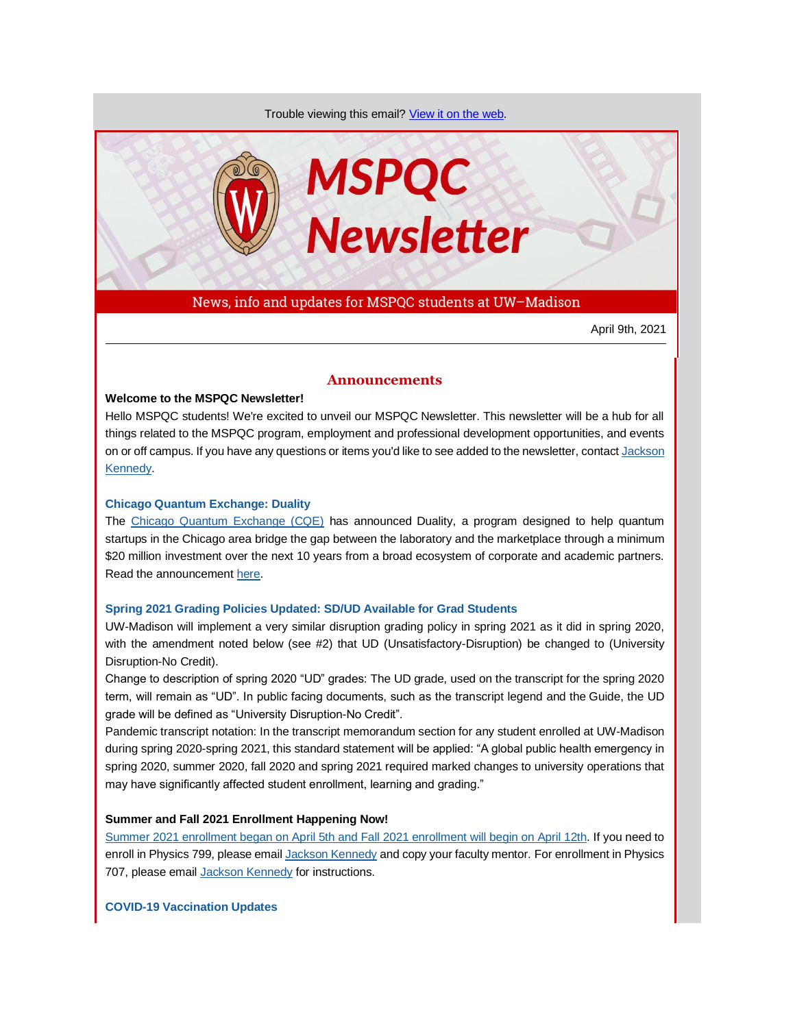Trouble viewing this email? [View it on the web.](https://app.explore.wisc.edu/e/es?s=1427524768&e=706866&elqTrackId=51e861781d16471282f1c296cabd15a9&elq=9954f26f843b430287a48381b7b22bd1&elqaid=16315&elqat=1)



News, info and updates for MSPQC students at UW–Madison

April 9th, 2021

## **Announcements**

## **Welcome to the MSPQC Newsletter!**

Hello MSPQC students! We're excited to unveil our MSPQC Newsletter. This newsletter will be a hub for all things related to the MSPQC program, employment and professional development opportunities, and events on or off campus. If you have any questions or items you'd like to see added to the newsletter, contac[t Jackson](mailto:jckennedy3@wisc.edu)  [Kennedy.](mailto:jckennedy3@wisc.edu)

## **[Chicago Quantum Exchange: Duality](https://app.explore.wisc.edu/e/er?s=1427524768&lid=16326&elqTrackId=B252B11D2519E16C64303DAE24D93DF4&elq=9954f26f843b430287a48381b7b22bd1&elqaid=16315&elqat=1)**

The [Chicago Quantum Exchange \(CQE\)](https://app.explore.wisc.edu/e/er?s=1427524768&lid=16327&elqTrackId=04001759FC47E9DEF1C785FD75E8DAC1&elq=9954f26f843b430287a48381b7b22bd1&elqaid=16315&elqat=1) has announced Duality, a program designed to help quantum startups in the Chicago area bridge the gap between the laboratory and the marketplace through a minimum \$20 million investment over the next 10 years from a broad ecosystem of corporate and academic partners. Read the announcement [here.](https://app.explore.wisc.edu/e/er?s=1427524768&lid=16326&elqTrackId=49EC05D4490035CECEA779DCAF6E9E6F&elq=9954f26f843b430287a48381b7b22bd1&elqaid=16315&elqat=1)

## **[Spring 2021 Grading Policies Updated: SD/UD Available for Grad Students](https://app.explore.wisc.edu/e/er?s=1427524768&lid=16499&elqTrackId=49DC61538C1EC0D3CC494209C16CA078&elq=9954f26f843b430287a48381b7b22bd1&elqaid=16315&elqat=1)**

UW-Madison will implement a very similar disruption grading policy in spring 2021 as it did in spring 2020, with the amendment noted below (see #2) that UD (Unsatisfactory-Disruption) be changed to (University Disruption-No Credit).

Change to description of spring 2020 "UD" grades: The UD grade, used on the transcript for the spring 2020 term, will remain as "UD". In public facing documents, such as the transcript legend and the Guide, the UD grade will be defined as "University Disruption-No Credit".

Pandemic transcript notation: In the transcript memorandum section for any student enrolled at UW-Madison during spring 2020-spring 2021, this standard statement will be applied: "A global public health emergency in spring 2020, summer 2020, fall 2020 and spring 2021 required marked changes to university operations that may have significantly affected student enrollment, learning and grading."

## **Summer and Fall 2021 Enrollment Happening Now!**

[Summer 2021 enrollment began on April 5th and Fall 2021 enrollment will begin on April 12th.](https://app.explore.wisc.edu/e/er?s=1427524768&lid=1365&elqTrackId=2B97173F03722B5201EB74E0AC7D9EE0&elq=9954f26f843b430287a48381b7b22bd1&elqaid=16315&elqat=1) If you need to enroll in Physics 799, please emai[l Jackson Kennedy](mailto:jckennedy3@wisc.edu) and copy your faculty mentor. For enrollment in Physics 707, please email [Jackson Kennedy](mailto:jckennedy3@wisc.edu) for instructions.

**[COVID-19 Vaccination Updates](https://app.explore.wisc.edu/e/er?s=1427524768&lid=16498&elqTrackId=d35321c713bb41ad9c44bceaab737d96&elq=9954f26f843b430287a48381b7b22bd1&elqaid=16315&elqat=1)**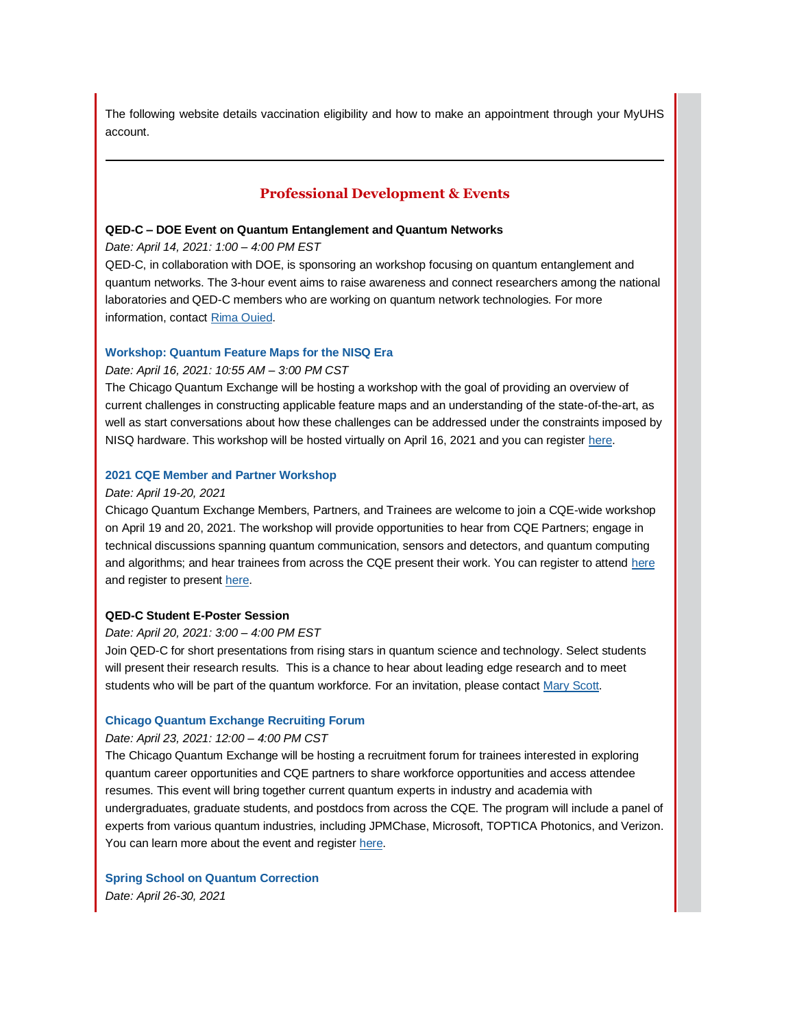The following website details vaccination eligibility and how to make an appointment through your MyUHS account.

## **Professional Development & Events**

## **QED-C – DOE Event on Quantum Entanglement and Quantum Networks**

*Date: April 14, 2021: 1:00 – 4:00 PM EST*

QED-C, in collaboration with DOE, is sponsoring an workshop focusing on quantum entanglement and quantum networks. The 3-hour event aims to raise awareness and connect researchers among the national laboratories and QED-C members who are working on quantum network technologies. For more information, contact Rima [Ouied.](mailto:rima.oueid@hq.doe.gov)

## **[Workshop: Quantum Feature Maps for the NISQ Era](https://app.explore.wisc.edu/e/er?s=1427524768&lid=16136&elqTrackId=D9A6C806B442D65250AAE0F8655991EE&elq=9954f26f843b430287a48381b7b22bd1&elqaid=16315&elqat=1)**

## *Date: April 16, 2021: 10:55 AM – 3:00 PM CST*

The Chicago Quantum Exchange will be hosting a workshop with the goal of providing an overview of current challenges in constructing applicable feature maps and an understanding of the state-of-the-art, as well as start conversations about how these challenges can be addressed under the constraints imposed by NISQ hardware. This workshop will be hosted virtually on April 16, 2021 and you can register [here.](https://app.explore.wisc.edu/e/er?s=1427524768&lid=16135&elqTrackId=BBFEFD35DB60D826D6C9A2E215ABCAF3&elq=9954f26f843b430287a48381b7b22bd1&elqaid=16315&elqat=1)

## **[2021 CQE Member and Partner Workshop](https://app.explore.wisc.edu/e/er?s=1427524768&lid=16134&elqTrackId=DA235149F6454E620BB088C318156897&elq=9954f26f843b430287a48381b7b22bd1&elqaid=16315&elqat=1)**

### *Date: April 19-20, 2021*

Chicago Quantum Exchange Members, Partners, and Trainees are welcome to join a CQE-wide workshop on April 19 and 20, 2021. The workshop will provide opportunities to hear from CQE Partners; engage in technical discussions spanning quantum communication, sensors and detectors, and quantum computing and algorithms; and hear trainees from across the CQE present their work. You can register to attend here and register to presen[t here.](https://app.explore.wisc.edu/e/er?s=1427524768&lid=16132&elqTrackId=D139929CD1A4EBAA8F7B9F48465887B9&elq=9954f26f843b430287a48381b7b22bd1&elqaid=16315&elqat=1)

#### **QED-C Student E-Poster Session**

#### *Date: April 20, 2021: 3:00 – 4:00 PM EST*

Join QED-C for short presentations from rising stars in quantum science and technology. Select students will present their research results. This is a chance to hear about leading edge research and to meet students who will be part of the quantum workforce. For an invitation, please contact [Mary Scott.](mailto:mary.scott@sri.com)

## **[Chicago Quantum Exchange Recruiting Forum](https://app.explore.wisc.edu/e/er?s=1427524768&lid=16141&elqTrackId=368F391BD93EBDCFCA01247A1226BCEE&elq=9954f26f843b430287a48381b7b22bd1&elqaid=16315&elqat=1)**

## *Date: April 23, 2021: 12:00 – 4:00 PM CST*

The Chicago Quantum Exchange will be hosting a recruitment forum for trainees interested in exploring quantum career opportunities and CQE partners to share workforce opportunities and access attendee resumes. This event will bring together current quantum experts in industry and academia with undergraduates, graduate students, and postdocs from across the CQE. The program will include a panel of experts from various quantum industries, including JPMChase, Microsoft, TOPTICA Photonics, and Verizon. You can learn more about the event and register [here.](https://app.explore.wisc.edu/e/er?s=1427524768&lid=16141&elqTrackId=6112F2525E5A2C03858409094E0D6D00&elq=9954f26f843b430287a48381b7b22bd1&elqaid=16315&elqat=1)

**[Spring School on Quantum Correction](https://app.explore.wisc.edu/e/er?s=1427524768&lid=16137&elqTrackId=C6F6550FF2D1B8E2E92AE7A1F7BBC85F&elq=9954f26f843b430287a48381b7b22bd1&elqaid=16315&elqat=1)** *Date: April 26-30, 2021*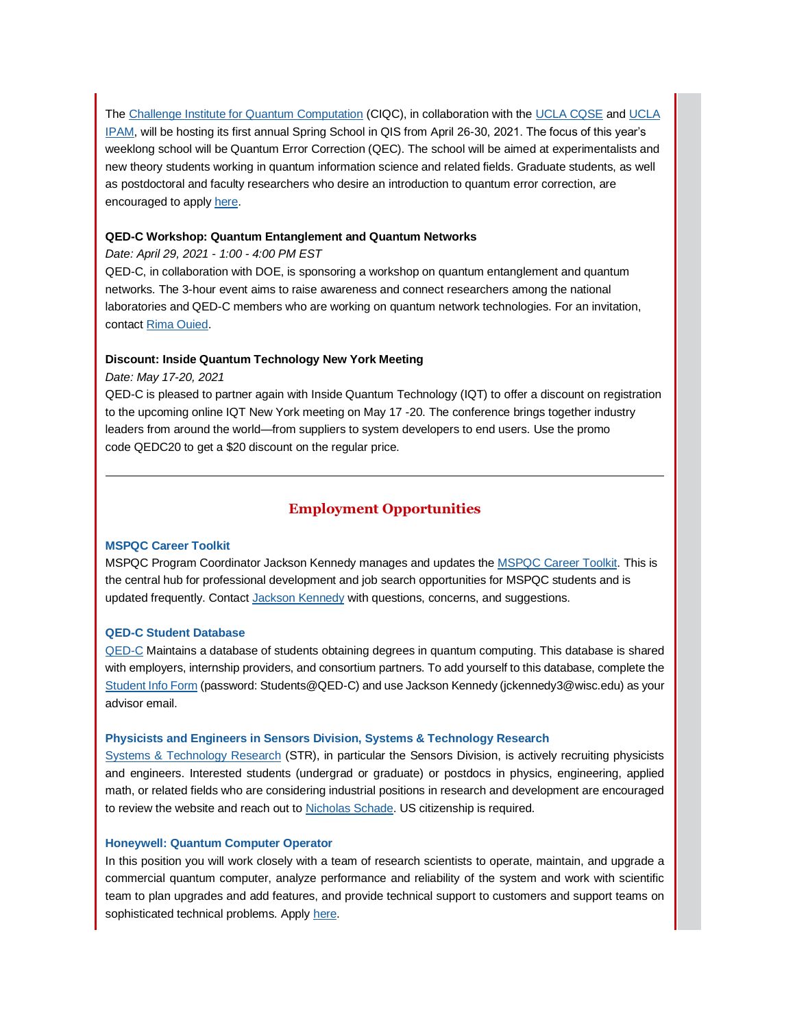The [Challenge Institute for Quantum Computation](https://app.explore.wisc.edu/e/er?s=1427524768&lid=16140&elqTrackId=CAE729E1219C2F38B35025F93F209123&elq=9954f26f843b430287a48381b7b22bd1&elqaid=16315&elqat=1) (CIQC), in collaboration with th[e UCLA CQSE](https://app.explore.wisc.edu/e/er?s=1427524768&lid=16139&elqTrackId=E37F5C38F44F117622BFAA24D3CFCD8C&elq=9954f26f843b430287a48381b7b22bd1&elqaid=16315&elqat=1) an[d UCLA](https://app.explore.wisc.edu/e/er?s=1427524768&lid=16138&elqTrackId=8D7F6C1101D393D7BDB6AC2777748E5F&elq=9954f26f843b430287a48381b7b22bd1&elqaid=16315&elqat=1)  [IPAM,](https://app.explore.wisc.edu/e/er?s=1427524768&lid=16138&elqTrackId=8D7F6C1101D393D7BDB6AC2777748E5F&elq=9954f26f843b430287a48381b7b22bd1&elqaid=16315&elqat=1) will be hosting its first annual Spring School in QIS from April 26-30, 2021. The focus of this year's weeklong school will be Quantum Error Correction (QEC). The school will be aimed at experimentalists and new theory students working in quantum information science and related fields. Graduate students, as well as postdoctoral and faculty researchers who desire an introduction to quantum error correction, are encouraged to apply [here.](https://app.explore.wisc.edu/e/er?s=1427524768&lid=16137&elqTrackId=66EF06FCF132A1C0C73A19C4F18F0F1C&elq=9954f26f843b430287a48381b7b22bd1&elqaid=16315&elqat=1)

## **QED-C Workshop: Quantum Entanglement and Quantum Networks**

## *Date: April 29, 2021 - 1:00 - 4:00 PM EST*

QED-C, in collaboration with DOE, is sponsoring a workshop on quantum entanglement and quantum networks. The 3-hour event aims to raise awareness and connect researchers among the national laboratories and QED-C members who are working on quantum network technologies. For an invitation, contac[t Rima Ouied.](https://app.explore.wisc.edu/e/er?s=1427524768&lid=16350&elqTrackId=A9731893DB39816131C9F739009F9C86&elq=9954f26f843b430287a48381b7b22bd1&elqaid=16315&elqat=1)

## **Discount: Inside Quantum Technology New York Meeting**

*Date: May 17-20, 2021*

QED-C is pleased to partner again with Inside Quantum Technology (IQT) to offer a discount on registration to the upcoming online IQT New York meeting on May 17 -20. The conference brings together industry leaders from around the world—from suppliers to system developers to end users. Use the promo code QEDC20 to get a \$20 discount on the regular price.

## **Employment Opportunities**

## **[MSPQC Career Toolkit](https://app.explore.wisc.edu/e/er?s=1427524768&lid=16119&elqTrackId=5A49858D7B279578BB1B0FB51CEEA074&elq=9954f26f843b430287a48381b7b22bd1&elqaid=16315&elqat=1)**

MSPQC Program Coordinator Jackson Kennedy manages and updates the [MSPQC Career Toolkit.](https://app.explore.wisc.edu/e/er?s=1427524768&lid=16119&elqTrackId=09D2E0C03CA2395C49E22DEC7C8591D3&elq=9954f26f843b430287a48381b7b22bd1&elqaid=16315&elqat=1) This is the central hub for professional development and job search opportunities for MSPQC students and is updated frequently. Contact [Jackson Kennedy](mailto:jckennedy3@wisc.edu) with questions, concerns, and suggestions.

## **[QED-C Student Database](https://app.explore.wisc.edu/e/er?s=1427524768&lid=16143&elqTrackId=3F91B3E99BC944A98E92AF38D30E52E3&elq=9954f26f843b430287a48381b7b22bd1&elqaid=16315&elqat=1)**

[QED-C](https://app.explore.wisc.edu/e/er?s=1427524768&lid=16144&elqTrackId=A9AB285BA5BE3DC678F7230E21B22D08&elq=9954f26f843b430287a48381b7b22bd1&elqaid=16315&elqat=1) Maintains a database of students obtaining degrees in quantum computing. This database is shared with employers, internship providers, and consortium partners. To add yourself to this database, complete the [Student Info Form](https://app.explore.wisc.edu/e/er?s=1427524768&lid=16143&elqTrackId=4394A173A56EFED3F138143AA6462B62&elq=9954f26f843b430287a48381b7b22bd1&elqaid=16315&elqat=1) (password: Students@QED-C) and use Jackson Kennedy (jckennedy3@wisc.edu) as your advisor email.

## **[Physicists and Engineers in Sensors Division, Systems & Technology Research](https://app.explore.wisc.edu/e/er?s=1427524768&lid=16321&elqTrackId=EFA8A61BFF8304417BBD3010DAE9C78F&elq=9954f26f843b430287a48381b7b22bd1&elqaid=16315&elqat=1)**

[Systems & Technology Research](https://app.explore.wisc.edu/e/er?s=1427524768&lid=16321&elqTrackId=FBD2C69E5BDAA13F696A7F2283605A17&elq=9954f26f843b430287a48381b7b22bd1&elqaid=16315&elqat=1) (STR), in particular the Sensors Division, is actively recruiting physicists and engineers. Interested students (undergrad or graduate) or postdocs in physics, engineering, applied math, or related fields who are considering industrial positions in research and development are encouraged to review the website and reach out t[o Nicholas Schade.](mailto:nicholas.schade@stresearch.com) US citizenship is required.

## **[Honeywell: Quantum Computer Operator](https://app.explore.wisc.edu/e/er?s=1427524768&lid=16324&elqTrackId=6C53759DAC0A58481830990FC394047C&elq=9954f26f843b430287a48381b7b22bd1&elqaid=16315&elqat=1)**

In this position you will work closely with a team of research scientists to operate, maintain, and upgrade a commercial quantum computer, analyze performance and reliability of the system and work with scientific team to plan upgrades and add features, and provide technical support to customers and support teams on sophisticated technical problems. Apply [here.](https://app.explore.wisc.edu/e/er?s=1427524768&lid=16324&elqTrackId=55580D60D0A8AB4185F0A6AA4A0ECDC4&elq=9954f26f843b430287a48381b7b22bd1&elqaid=16315&elqat=1)